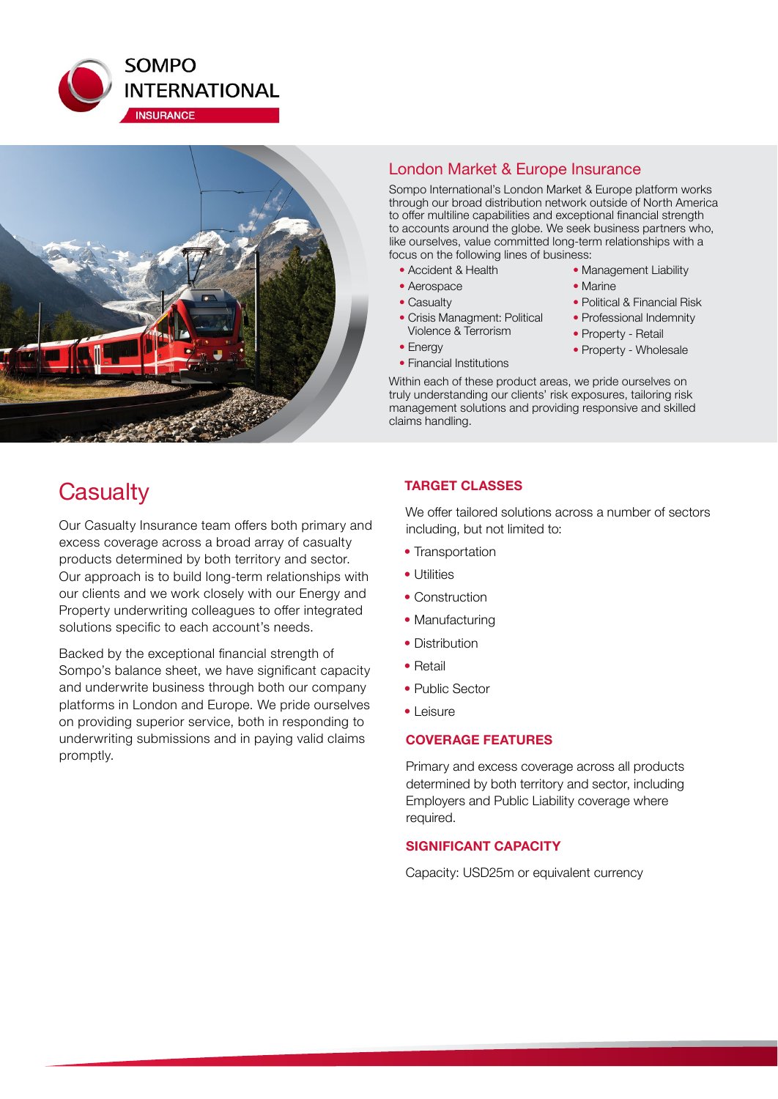



## London Market & Europe Insurance

Sompo International's London Market & Europe platform works through our broad distribution network outside of North America to offer multiline capabilities and exceptional financial strength to accounts around the globe. We seek business partners who, like ourselves, value committed long-term relationships with a focus on the following lines of business:

- Accident & Health
- Aerospace
- Casualty
- Crisis Managment: Political Violence & Terrorism
- Energy
- Financial Institutions
- Management Liability
- Marine
- Political & Financial Risk
- Professional Indemnity
- Property Retail
- Property Wholesale

Within each of these product areas, we pride ourselves on truly understanding our clients' risk exposures, tailoring risk management solutions and providing responsive and skilled claims handling.

# **Casualty**

Our Casualty Insurance team offers both primary and excess coverage across a broad array of casualty products determined by both territory and sector. Our approach is to build long-term relationships with our clients and we work closely with our Energy and Property underwriting colleagues to offer integrated solutions specific to each account's needs.

Backed by the exceptional financial strength of Sompo's balance sheet, we have significant capacity and underwrite business through both our company platforms in London and Europe. We pride ourselves on providing superior service, both in responding to underwriting submissions and in paying valid claims promptly.

#### **TARGET CLASSES**

We offer tailored solutions across a number of sectors including, but not limited to:

- Transportation
- Utilities
- Construction
- Manufacturing
- Distribution
- Retail
- Public Sector
- Leisure

### **COVERAGE FEATURES**

Primary and excess coverage across all products determined by both territory and sector, including Employers and Public Liability coverage where required.

#### **SIGNIFICANT CAPACITY**

Capacity: USD25m or equivalent currency